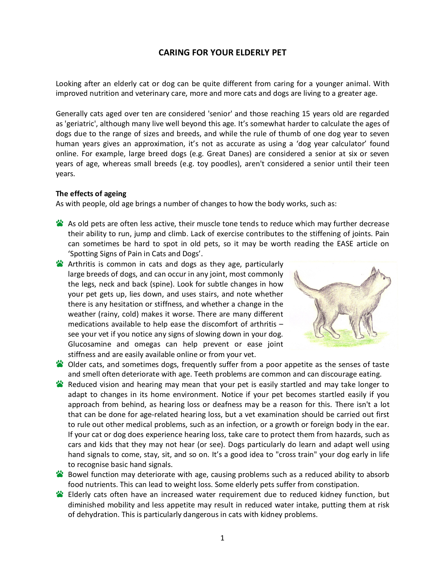## **CARING FOR YOUR ELDERLY PET**

Looking after an elderly cat or dog can be quite different from caring for a younger animal. With improved nutrition and veterinary care, more and more cats and dogs are living to a greater age.

Generally cats aged over ten are considered 'senior' and those reaching 15 years old are regarded as 'geriatric', although many live well beyond this age. It's somewhat harder to calculate the ages of dogs due to the range of sizes and breeds, and while the rule of thumb of one dog year to seven human years gives an approximation, it's not as accurate as using a 'dog year calculator' found online. For example, large breed dogs (e.g. Great Danes) are considered a senior at six or seven years of age, whereas small breeds (e.g. toy poodles), aren't considered a senior until their teen years.

#### **The effects of ageing**

As with people, old age brings a number of changes to how the body works, such as:

- As old pets are often less active, their muscle tone tends to reduce which may further decrease their ability to run, jump and climb. Lack of exercise contributes to the stiffening of joints. Pain can sometimes be hard to spot in old pets, so it may be worth reading the EASE article on 'Spotting Signs of Pain in Cats and Dogs'.
- **X** Arthritis is common in cats and dogs as they age, particularly large breeds of dogs, and can occur in any joint, most commonly the legs, neck and back (spine). Look for subtle changes in how your pet gets up, lies down, and uses stairs, and note whether there is any hesitation or stiffness, and whether a change in the weather (rainy, cold) makes it worse. There are many different medications available to help ease the discomfort of arthritis – see your vet if you notice any signs of slowing down in your dog. Glucosamine and omegas can help prevent or ease joint stiffness and are easily available online or from your vet.



- Older cats, and sometimes dogs, frequently suffer from a poor appetite as the senses of taste and smell often deteriorate with age. Teeth problems are common and can discourage eating.
- **<sup>2</sup>** Reduced vision and hearing may mean that your pet is easily startled and may take longer to adapt to changes in its home environment. Notice if your pet becomes startled easily if you approach from behind, as hearing loss or deafness may be a reason for this. There isn't a lot that can be done for age-related hearing loss, but a vet examination should be carried out first to rule out other medical problems, such as an infection, or a growth or foreign body in the ear. If your cat or dog does experience hearing loss, take care to protect them from hazards, such as cars and kids that they may not hear (or see). Dogs particularly do learn and adapt well using hand signals to come, stay, sit, and so on. It's a good idea to "cross train" your dog early in life to recognise basic hand signals.
- **S** Bowel function may deteriorate with age, causing problems such as a reduced ability to absorb food nutrients. This can lead to weight loss. Some elderly pets suffer from constipation.
- Elderly cats often have an increased water requirement due to reduced kidney function, but diminished mobility and less appetite may result in reduced water intake, putting them at risk of dehydration. This is particularly dangerous in cats with kidney problems.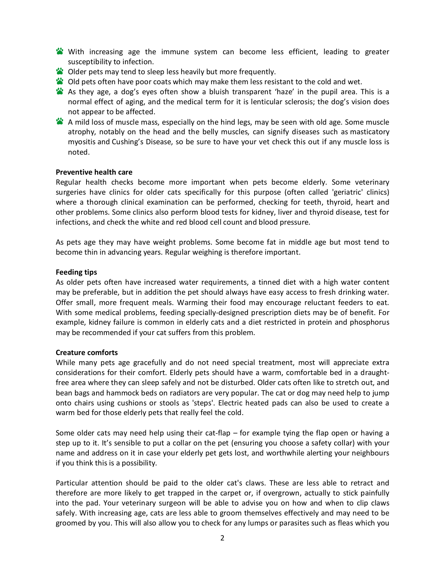- With increasing age the immune system can become less efficient, leading to greater susceptibility to infection.
- Older pets may tend to sleep less heavily but more frequently.
- Old pets often have poor coats which may make them less resistant to the cold and wet.
- As they age, a dog's eyes often show a bluish transparent 'haze' in the pupil area. This is a normal effect of aging, and the medical term for it is lenticular sclerosis; the dog's vision does not appear to be affected.
- A mild loss of muscle mass, especially on the hind legs, may be seen with old age. Some muscle atrophy, notably on the head and the belly muscles, can signify diseases such as masticatory myositis and Cushing's Disease, so be sure to have your vet check this out if any muscle loss is noted.

## **Preventive health care**

Regular health checks become more important when pets become elderly. Some veterinary surgeries have clinics for older cats specifically for this purpose (often called 'geriatric' clinics) where a thorough clinical examination can be performed, checking for teeth, thyroid, heart and other problems. Some clinics also perform blood tests for kidney, liver and thyroid disease, test for infections, and check the white and red blood cell count and blood pressure.

As pets age they may have weight problems. Some become fat in middle age but most tend to become thin in advancing years. Regular weighing is therefore important.

#### **Feeding tips**

As older pets often have increased water requirements, a tinned diet with a high water content may be preferable, but in addition the pet should always have easy access to fresh drinking water. Offer small, more frequent meals. Warming their food may encourage reluctant feeders to eat. With some medical problems, feeding specially-designed prescription diets may be of benefit. For example, kidney failure is common in elderly cats and a diet restricted in protein and phosphorus may be recommended if your cat suffers from this problem.

## **Creature comforts**

While many pets age gracefully and do not need special treatment, most will appreciate extra considerations for their comfort. Elderly pets should have a warm, comfortable bed in a draughtfree area where they can sleep safely and not be disturbed. Older cats often like to stretch out, and bean bags and hammock beds on radiators are very popular. The cat or dog may need help to jump onto chairs using cushions or stools as 'steps'. Electric heated pads can also be used to create a warm bed for those elderly pets that really feel the cold.

Some older cats may need help using their cat-flap – for example tying the flap open or having a step up to it. It's sensible to put a collar on the pet (ensuring you choose a safety collar) with your name and address on it in case your elderly pet gets lost, and worthwhile alerting your neighbours if you think this is a possibility.

Particular attention should be paid to the older cat's claws. These are less able to retract and therefore are more likely to get trapped in the carpet or, if overgrown, actually to stick painfully into the pad. Your veterinary surgeon will be able to advise you on how and when to clip claws safely. With increasing age, cats are less able to groom themselves effectively and may need to be groomed by you. This will also allow you to check for any lumps or parasites such as fleas which you